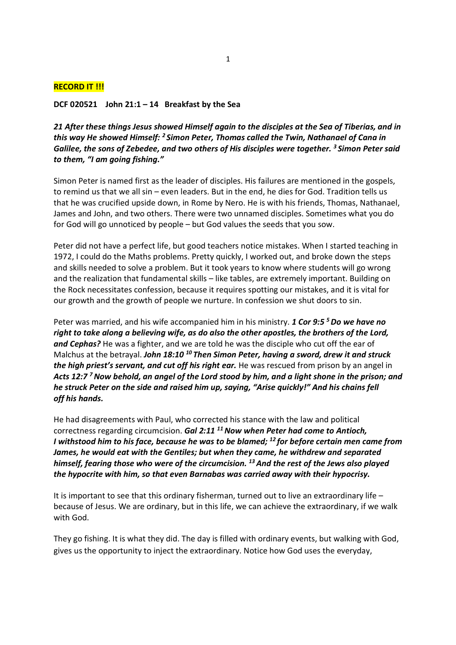#### RECORD IT !!!

DCF 020521 John  $21:1 - 14$  Breakfast by the Sea

21 After these things Jesus showed Himself again to the disciples at the Sea of Tiberias, and in this way He showed Himself:  $2$  Simon Peter, Thomas called the Twin, Nathanael of Cana in Galilee, the sons of Zebedee, and two others of His disciples were together.<sup>3</sup> Simon Peter said to them, "I am going fishing."

Simon Peter is named first as the leader of disciples. His failures are mentioned in the gospels, to remind us that we all sin – even leaders. But in the end, he dies for God. Tradition tells us that he was crucified upside down, in Rome by Nero. He is with his friends, Thomas, Nathanael, James and John, and two others. There were two unnamed disciples. Sometimes what you do for God will go unnoticed by people – but God values the seeds that you sow.

Peter did not have a perfect life, but good teachers notice mistakes. When I started teaching in 1972, I could do the Maths problems. Pretty quickly, I worked out, and broke down the steps and skills needed to solve a problem. But it took years to know where students will go wrong and the realization that fundamental skills – like tables, are extremely important. Building on the Rock necessitates confession, because it requires spotting our mistakes, and it is vital for our growth and the growth of people we nurture. In confession we shut doors to sin.

Peter was married, and his wife accompanied him in his ministry. 1 Cor 9:5<sup>5</sup> Do we have no right to take along a believing wife, as do also the other apostles, the brothers of the Lord, and Cephas? He was a fighter, and we are told he was the disciple who cut off the ear of Malchus at the betrayal. John 18:10<sup>10</sup> Then Simon Peter, having a sword, drew it and struck the high priest's servant, and cut off his right ear. He was rescued from prison by an angel in Acts 12:7<sup>7</sup> Now behold, an angel of the Lord stood by him, and a light shone in the prison; and he struck Peter on the side and raised him up, saying, "Arise quickly!" And his chains fell off his hands.

He had disagreements with Paul, who corrected his stance with the law and political correctness regarding circumcision. Gal 2:11  $^{11}$  Now when Peter had come to Antioch, I withstood him to his face, because he was to be blamed;  $^{12}$  for before certain men came from James, he would eat with the Gentiles; but when they came, he withdrew and separated himself, fearing those who were of the circumcision.  $^{13}$  And the rest of the Jews also played the hypocrite with him, so that even Barnabas was carried away with their hypocrisy.

It is important to see that this ordinary fisherman, turned out to live an extraordinary life – because of Jesus. We are ordinary, but in this life, we can achieve the extraordinary, if we walk with God.

They go fishing. It is what they did. The day is filled with ordinary events, but walking with God, gives us the opportunity to inject the extraordinary. Notice how God uses the everyday,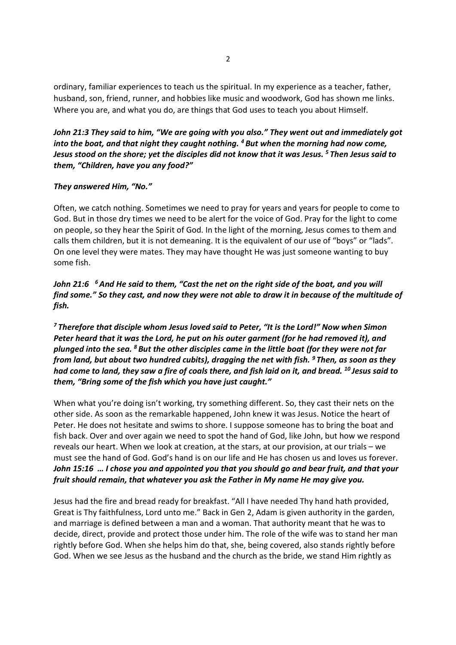ordinary, familiar experiences to teach us the spiritual. In my experience as a teacher, father, husband, son, friend, runner, and hobbies like music and woodwork, God has shown me links. Where you are, and what you do, are things that God uses to teach you about Himself.

John 21:3 They said to him, "We are going with you also." They went out and immediately got into the boat, and that night they caught nothing.  $4$  But when the morning had now come, Jesus stood on the shore; yet the disciples did not know that it was Jesus.<sup>5</sup> Then Jesus said to them, "Children, have you any food?"

### They answered Him, "No."

Often, we catch nothing. Sometimes we need to pray for years and years for people to come to God. But in those dry times we need to be alert for the voice of God. Pray for the light to come on people, so they hear the Spirit of God. In the light of the morning, Jesus comes to them and calls them children, but it is not demeaning. It is the equivalent of our use of "boys" or "lads". On one level they were mates. They may have thought He was just someone wanting to buy some fish.

John 21:6  $6$  And He said to them, "Cast the net on the right side of the boat, and you will find some." So they cast, and now they were not able to draw it in because of the multitude of fish.

 $<sup>7</sup>$  Therefore that disciple whom Jesus loved said to Peter, "It is the Lord!" Now when Simon</sup> Peter heard that it was the Lord, he put on his outer garment (for he had removed it), and plunged into the sea.  $8$  But the other disciples came in the little boat (for they were not far from land, but about two hundred cubits), dragging the net with fish.  $9$  Then, as soon as they had come to land, they saw a fire of coals there, and fish laid on it, and bread. <sup>10</sup> Jesus said to them, "Bring some of the fish which you have just caught."

When what you're doing isn't working, try something different. So, they cast their nets on the other side. As soon as the remarkable happened, John knew it was Jesus. Notice the heart of Peter. He does not hesitate and swims to shore. I suppose someone has to bring the boat and fish back. Over and over again we need to spot the hand of God, like John, but how we respond reveals our heart. When we look at creation, at the stars, at our provision, at our trials – we must see the hand of God. God's hand is on our life and He has chosen us and loves us forever. John 15:16 … I chose you and appointed you that you should go and bear fruit, and that your fruit should remain, that whatever you ask the Father in My name He may give you.

Jesus had the fire and bread ready for breakfast. "All I have needed Thy hand hath provided, Great is Thy faithfulness, Lord unto me." Back in Gen 2, Adam is given authority in the garden, and marriage is defined between a man and a woman. That authority meant that he was to decide, direct, provide and protect those under him. The role of the wife was to stand her man rightly before God. When she helps him do that, she, being covered, also stands rightly before God. When we see Jesus as the husband and the church as the bride, we stand Him rightly as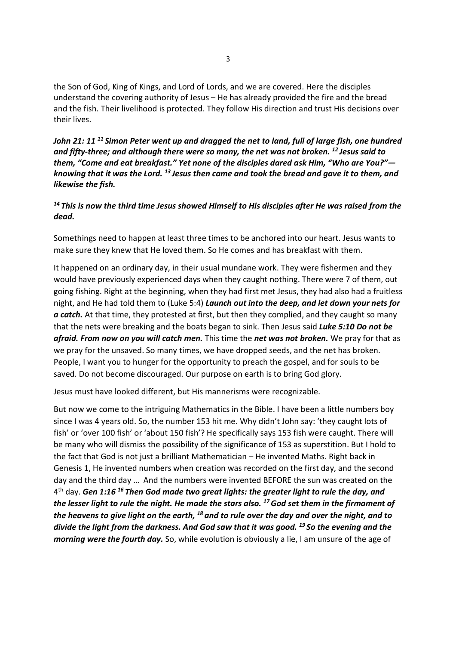the Son of God, King of Kings, and Lord of Lords, and we are covered. Here the disciples understand the covering authority of Jesus – He has already provided the fire and the bread and the fish. Their livelihood is protected. They follow His direction and trust His decisions over their lives.

### John 21: 11 $<sup>11</sup>$  Simon Peter went up and dragged the net to land, full of large fish, one hundred</sup> and fifty-three; and although there were so many, the net was not broken. <sup>12</sup> Jesus said to them, "Come and eat breakfast." Yet none of the disciples dared ask Him, "Who are You?" knowing that it was the Lord.  $^{13}$  Jesus then came and took the bread and gave it to them, and likewise the fish.

<sup>14</sup> This is now the third time Jesus showed Himself to His disciples after He was raised from the dead.

Somethings need to happen at least three times to be anchored into our heart. Jesus wants to make sure they knew that He loved them. So He comes and has breakfast with them.

It happened on an ordinary day, in their usual mundane work. They were fishermen and they would have previously experienced days when they caught nothing. There were 7 of them, out going fishing. Right at the beginning, when they had first met Jesus, they had also had a fruitless night, and He had told them to (Luke 5:4) Launch out into the deep, and let down your nets for a catch. At that time, they protested at first, but then they complied, and they caught so many that the nets were breaking and the boats began to sink. Then Jesus said Luke 5:10 Do not be afraid. From now on you will catch men. This time the net was not broken. We pray for that as we pray for the unsaved. So many times, we have dropped seeds, and the net has broken. People, I want you to hunger for the opportunity to preach the gospel, and for souls to be saved. Do not become discouraged. Our purpose on earth is to bring God glory.

Jesus must have looked different, but His mannerisms were recognizable.

But now we come to the intriguing Mathematics in the Bible. I have been a little numbers boy since I was 4 years old. So, the number 153 hit me. Why didn't John say: 'they caught lots of fish' or 'over 100 fish' or 'about 150 fish'? He specifically says 153 fish were caught. There will be many who will dismiss the possibility of the significance of 153 as superstition. But I hold to the fact that God is not just a brilliant Mathematician – He invented Maths. Right back in Genesis 1, He invented numbers when creation was recorded on the first day, and the second day and the third day … And the numbers were invented BEFORE the sun was created on the  $4^{\text{th}}$  day. Gen 1:16  $^{16}$  Then God made two great lights: the greater light to rule the day, and the lesser light to rule the night. He made the stars also.  $^{17}$  God set them in the firmament of the heavens to give light on the earth,  $^{18}$  and to rule over the day and over the night, and to divide the light from the darkness. And God saw that it was good.  $^{19}$  So the evening and the morning were the fourth day. So, while evolution is obviously a lie, I am unsure of the age of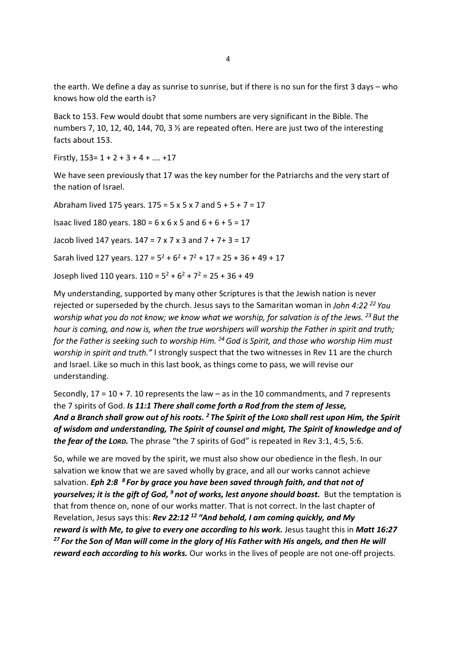the earth. We define a day as sunrise to sunrise, but if there is no sun for the first 3 days – who knows how old the earth is?

Back to 153. Few would doubt that some numbers are very significant in the Bible. The numbers 7, 10, 12, 40, 144, 70, 3  $\frac{1}{2}$  are repeated often. Here are just two of the interesting facts about 153.

Firstly,  $153 = 1 + 2 + 3 + 4 + ... +17$ 

We have seen previously that 17 was the key number for the Patriarchs and the very start of the nation of Israel.

Abraham lived 175 years.  $175 = 5 \times 5 \times 7$  and  $5 + 5 + 7 = 17$ Isaac lived 180 years.  $180 = 6 \times 6 \times 5$  and  $6 + 6 + 5 = 17$ Jacob lived 147 years.  $147 = 7 \times 7 \times 3$  and  $7 + 7 + 3 = 17$ Sarah lived 127 years.  $127 = 5^2 + 6^2 + 7^2 + 17 = 25 + 36 + 49 + 17$ Joseph lived 110 years.  $110 = 5^2 + 6^2 + 7^2 = 25 + 36 + 49$ 

My understanding, supported by many other Scriptures is that the Jewish nation is never rejected or superseded by the church. Jesus says to the Samaritan woman in John 4:22<sup>22</sup> You worship what you do not know; we know what we worship, for salvation is of the Jews.  $^{23}$  But the hour is coming, and now is, when the true worshipers will worship the Father in spirit and truth; for the Father is seeking such to worship Him.  $^{24}$  God is Spirit, and those who worship Him must worship in spirit and truth." I strongly suspect that the two witnesses in Rev 11 are the church and Israel. Like so much in this last book, as things come to pass, we will revise our understanding.

Secondly,  $17 = 10 + 7$ . 10 represents the law – as in the 10 commandments, and 7 represents the 7 spirits of God. Is 11:1 There shall come forth a Rod from the stem of Jesse, And a Branch shall grow out of his roots. <sup>2</sup> The Spirit of the LORD shall rest upon Him, the Spirit of wisdom and understanding, The Spirit of counsel and might, The Spirit of knowledge and of the fear of the LORD. The phrase "the 7 spirits of God" is repeated in Rev 3:1, 4:5, 5:6.

So, while we are moved by the spirit, we must also show our obedience in the flesh. In our salvation we know that we are saved wholly by grace, and all our works cannot achieve salvation. Eph 2:8  $8$  For by grace you have been saved through faith, and that not of yourselves; it is the gift of God,  $9$  not of works, lest anyone should boast. But the temptation is that from thence on, none of our works matter. That is not correct. In the last chapter of Revelation, Jesus says this: Rev 22:12<sup>12</sup> "And behold, I am coming quickly, and My reward is with Me, to give to every one according to his work. Jesus taught this in Matt 16:27  $27$  For the Son of Man will come in the glory of His Father with His angels, and then He will reward each according to his works. Our works in the lives of people are not one-off projects.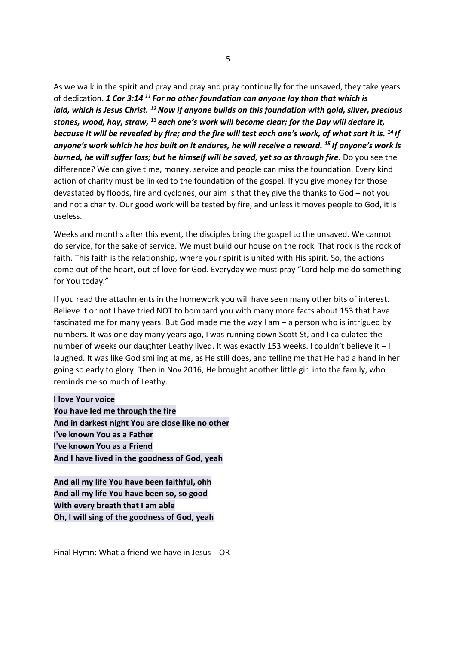As we walk in the spirit and pray and pray and pray continually for the unsaved, they take years of dedication. 1 Cor 3:14  $^{11}$  For no other foundation can anyone lay than that which is laid, which is Jesus Christ. <sup>12</sup> Now if anyone builds on this foundation with gold, silver, precious stones, wood, hay, straw,  $^{13}$  each one's work will become clear; for the Day will declare it, because it will be revealed by fire; and the fire will test each one's work, of what sort it is. <sup>14</sup> If anyone's work which he has built on it endures, he will receive a reward.  $^{15}$  If anyone's work is burned, he will suffer loss; but he himself will be saved, yet so as through fire. Do you see the difference? We can give time, money, service and people can miss the foundation. Every kind action of charity must be linked to the foundation of the gospel. If you give money for those devastated by floods, fire and cyclones, our aim is that they give the thanks to God – not you and not a charity. Our good work will be tested by fire, and unless it moves people to God, it is useless.

Weeks and months after this event, the disciples bring the gospel to the unsaved. We cannot do service, for the sake of service. We must build our house on the rock. That rock is the rock of faith. This faith is the relationship, where your spirit is united with His spirit. So, the actions come out of the heart, out of love for God. Everyday we must pray "Lord help me do something for You today."

If you read the attachments in the homework you will have seen many other bits of interest. Believe it or not I have tried NOT to bombard you with many more facts about 153 that have fascinated me for many years. But God made me the way I am – a person who is intrigued by numbers. It was one day many years ago, I was running down Scott St, and I calculated the number of weeks our daughter Leathy lived. It was exactly 153 weeks. I couldn't believe it – I laughed. It was like God smiling at me, as He still does, and telling me that He had a hand in her going so early to glory. Then in Nov 2016, He brought another little girl into the family, who reminds me so much of Leathy.

I love Your voice

You have led me through the fire And in darkest night You are close like no other I've known You as a Father I've known You as a Friend And I have lived in the goodness of God, yeah

And all my life You have been faithful, ohh And all my life You have been so, so good With every breath that I am able Oh, I will sing of the goodness of God, yeah

Final Hymn: What a friend we have in Jesus OR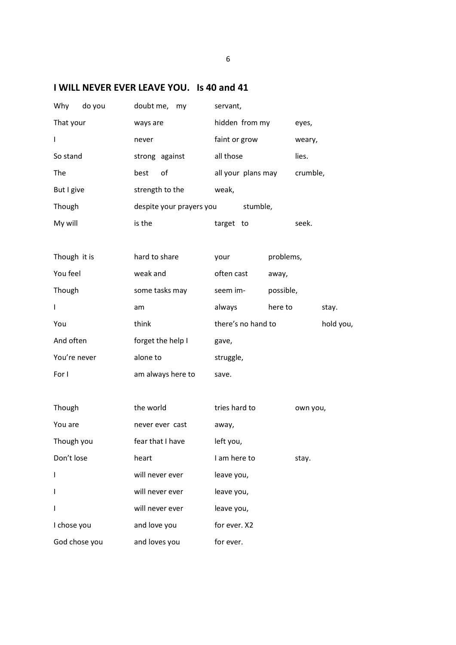## I WILL NEVER EVER LEAVE YOU. Is 40 and 41

| Why<br>do you                  | doubt me, my      |                          | servant,           |                    |          |           |  |
|--------------------------------|-------------------|--------------------------|--------------------|--------------------|----------|-----------|--|
| That your                      |                   | ways are                 |                    | hidden from my     |          | eyes,     |  |
| I                              | never             |                          |                    | faint or grow      |          | weary,    |  |
| So stand                       | strong against    |                          | all those          |                    |          | lies.     |  |
| The                            | best              | of                       | all your plans may |                    |          | crumble,  |  |
| But I give                     |                   | strength to the          |                    | weak,              |          |           |  |
| Though                         |                   | despite your prayers you |                    | stumble,           |          |           |  |
| My will                        | is the            |                          |                    | target to          |          | seek.     |  |
|                                |                   |                          |                    |                    |          |           |  |
| Though it is                   |                   | hard to share            |                    | your               |          | problems, |  |
| You feel<br>weak and           |                   |                          | often cast         |                    | away,    |           |  |
| Though                         |                   | some tasks may           |                    | seem im-           |          | possible, |  |
| I                              | am                |                          | always             |                    | here to  | stay.     |  |
| You                            | think             |                          |                    | there's no hand to |          | hold you, |  |
| And often                      | forget the help I |                          | gave,              |                    |          |           |  |
| You're never                   |                   | alone to                 |                    | struggle,          |          |           |  |
| For I<br>am always here to     |                   |                          | save.              |                    |          |           |  |
|                                |                   |                          |                    |                    |          |           |  |
| Though                         | the world         |                          | tries hard to      |                    | own you, |           |  |
| You are                        | never ever cast   |                          | away,              |                    |          |           |  |
| Though you                     | fear that I have  |                          | left you,          |                    |          |           |  |
| Don't lose                     | heart             |                          | I am here to       |                    |          | stay.     |  |
| I                              | will never ever   |                          | leave you,         |                    |          |           |  |
| I                              | will never ever   |                          | leave you,         |                    |          |           |  |
| I                              | will never ever   |                          | leave you,         |                    |          |           |  |
| I chose you                    | and love you      |                          | for ever. X2       |                    |          |           |  |
| God chose you<br>and loves you |                   |                          | for ever.          |                    |          |           |  |

6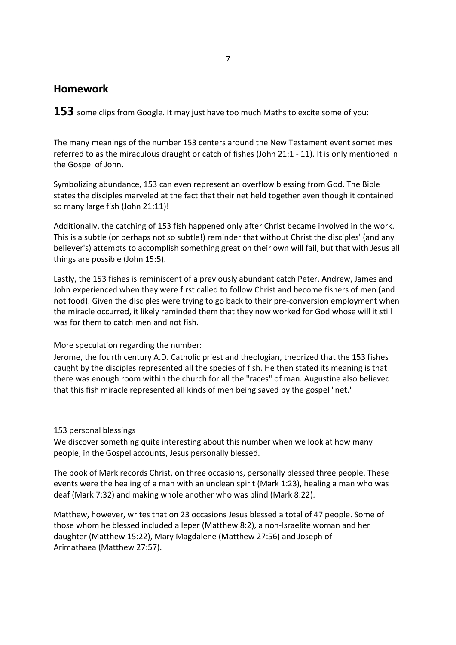# Homework

153 some clips from Google. It may just have too much Maths to excite some of you:

The many meanings of the number 153 centers around the New Testament event sometimes referred to as the miraculous draught or catch of fishes (John 21:1 - 11). It is only mentioned in the Gospel of John.

Symbolizing abundance, 153 can even represent an overflow blessing from God. The Bible states the disciples marveled at the fact that their net held together even though it contained so many large fish (John 21:11)!

Additionally, the catching of 153 fish happened only after Christ became involved in the work. This is a subtle (or perhaps not so subtle!) reminder that without Christ the disciples' (and any believer's) attempts to accomplish something great on their own will fail, but that with Jesus all things are possible (John 15:5).

Lastly, the 153 fishes is reminiscent of a previously abundant catch Peter, Andrew, James and John experienced when they were first called to follow Christ and become fishers of men (and not food). Given the disciples were trying to go back to their pre-conversion employment when the miracle occurred, it likely reminded them that they now worked for God whose will it still was for them to catch men and not fish.

More speculation regarding the number:

Jerome, the fourth century A.D. Catholic priest and theologian, theorized that the 153 fishes caught by the disciples represented all the species of fish. He then stated its meaning is that there was enough room within the church for all the "races" of man. Augustine also believed that this fish miracle represented all kinds of men being saved by the gospel "net."

### 153 personal blessings

We discover something quite interesting about this number when we look at how many people, in the Gospel accounts, Jesus personally blessed.

The book of Mark records Christ, on three occasions, personally blessed three people. These events were the healing of a man with an unclean spirit (Mark 1:23), healing a man who was deaf (Mark 7:32) and making whole another who was blind (Mark 8:22).

Matthew, however, writes that on 23 occasions Jesus blessed a total of 47 people. Some of those whom he blessed included a leper (Matthew 8:2), a non-Israelite woman and her daughter (Matthew 15:22), Mary Magdalene (Matthew 27:56) and Joseph of Arimathaea (Matthew 27:57).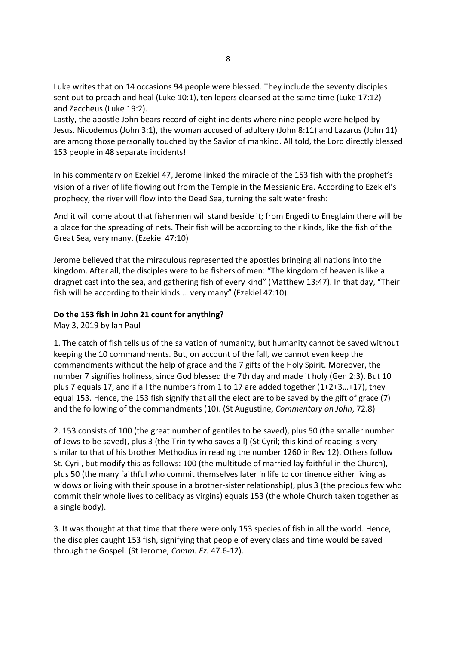Luke writes that on 14 occasions 94 people were blessed. They include the seventy disciples sent out to preach and heal (Luke 10:1), ten lepers cleansed at the same time (Luke 17:12) and Zaccheus (Luke 19:2).

Lastly, the apostle John bears record of eight incidents where nine people were helped by Jesus. Nicodemus (John 3:1), the woman accused of adultery (John 8:11) and Lazarus (John 11) are among those personally touched by the Savior of mankind. All told, the Lord directly blessed 153 people in 48 separate incidents!

In his commentary on Ezekiel 47, Jerome linked the miracle of the 153 fish with the prophet's vision of a river of life flowing out from the Temple in the Messianic Era. According to Ezekiel's prophecy, the river will flow into the Dead Sea, turning the salt water fresh:

And it will come about that fishermen will stand beside it; from Engedi to Eneglaim there will be a place for the spreading of nets. Their fish will be according to their kinds, like the fish of the Great Sea, very many. (Ezekiel 47:10)

Jerome believed that the miraculous represented the apostles bringing all nations into the kingdom. After all, the disciples were to be fishers of men: "The kingdom of heaven is like a dragnet cast into the sea, and gathering fish of every kind" (Matthew 13:47). In that day, "Their fish will be according to their kinds … very many" (Ezekiel 47:10).

#### Do the 153 fish in John 21 count for anything?

May 3, 2019 by Ian Paul

1. The catch of fish tells us of the salvation of humanity, but humanity cannot be saved without keeping the 10 commandments. But, on account of the fall, we cannot even keep the commandments without the help of grace and the 7 gifts of the Holy Spirit. Moreover, the number 7 signifies holiness, since God blessed the 7th day and made it holy (Gen 2:3). But 10 plus 7 equals 17, and if all the numbers from 1 to 17 are added together (1+2+3…+17), they equal 153. Hence, the 153 fish signify that all the elect are to be saved by the gift of grace (7) and the following of the commandments (10). (St Augustine, Commentary on John, 72.8)

2. 153 consists of 100 (the great number of gentiles to be saved), plus 50 (the smaller number of Jews to be saved), plus 3 (the Trinity who saves all) (St Cyril; this kind of reading is very similar to that of his brother Methodius in reading the number 1260 in Rev 12). Others follow St. Cyril, but modify this as follows: 100 (the multitude of married lay faithful in the Church), plus 50 (the many faithful who commit themselves later in life to continence either living as widows or living with their spouse in a brother-sister relationship), plus 3 (the precious few who commit their whole lives to celibacy as virgins) equals 153 (the whole Church taken together as a single body).

3. It was thought at that time that there were only 153 species of fish in all the world. Hence, the disciples caught 153 fish, signifying that people of every class and time would be saved through the Gospel. (St Jerome, Comm. Ez. 47.6-12).